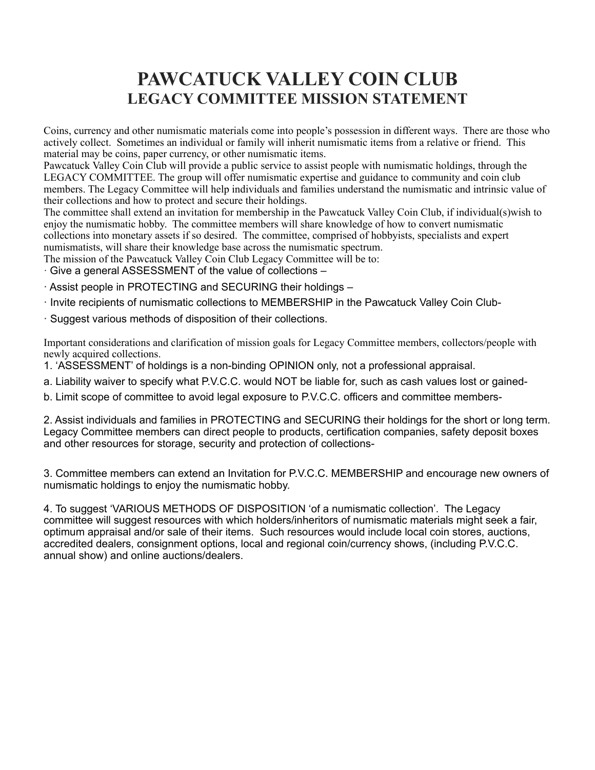## **PAWCATUCK VALLEY COIN CLUB LEGACY COMMITTEE MISSION STATEMENT**

Coins, currency and other numismatic materials come into people's possession in different ways. There are those who actively collect. Sometimes an individual or family will inherit numismatic items from a relative or friend. This material may be coins, paper currency, or other numismatic items.

Pawcatuck Valley Coin Club will provide a public service to assist people with numismatic holdings, through the LEGACY COMMITTEE. The group will offer numismatic expertise and guidance to community and coin club members. The Legacy Committee will help individuals and families understand the numismatic and intrinsic value of their collections and how to protect and secure their holdings.

The committee shall extend an invitation for membership in the Pawcatuck Valley Coin Club, if individual(s)wish to enjoy the numismatic hobby. The committee members will share knowledge of how to convert numismatic collections into monetary assets if so desired. The committee, comprised of hobbyists, specialists and expert numismatists, will share their knowledge base across the numismatic spectrum.

The mission of the Pawcatuck Valley Coin Club Legacy Committee will be to:

- · Give a general ASSESSMENT of the value of collections –
- · Assist people in PROTECTING and SECURING their holdings –
- · Invite recipients of numismatic collections to MEMBERSHIP in the Pawcatuck Valley Coin Club-
- · Suggest various methods of disposition of their collections.

Important considerations and clarification of mission goals for Legacy Committee members, collectors/people with newly acquired collections.

- 1. 'ASSESSMENT' of holdings is a non-binding OPINION only, not a professional appraisal.
- a. Liability waiver to specify what P.V.C.C. would NOT be liable for, such as cash values lost or gained-
- b. Limit scope of committee to avoid legal exposure to P.V.C.C. officers and committee members-

2. Assist individuals and families in PROTECTING and SECURING their holdings for the short or long term. Legacy Committee members can direct people to products, certification companies, safety deposit boxes and other resources for storage, security and protection of collections-

3. Committee members can extend an Invitation for P.V.C.C. MEMBERSHIP and encourage new owners of numismatic holdings to enjoy the numismatic hobby.

4. To suggest 'VARIOUS METHODS OF DISPOSITION 'of a numismatic collection'. The Legacy committee will suggest resources with which holders/inheritors of numismatic materials might seek a fair, optimum appraisal and/or sale of their items. Such resources would include local coin stores, auctions, accredited dealers, consignment options, local and regional coin/currency shows, (including P.V.C.C. annual show) and online auctions/dealers.